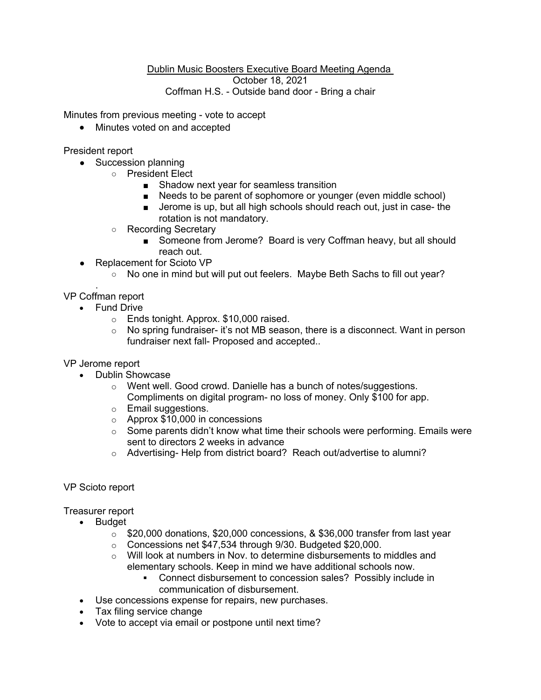## Dublin Music Boosters Executive Board Meeting Agenda October 18, 2021 Coffman H.S. - Outside band door - Bring a chair

Minutes from previous meeting - vote to accept

• Minutes voted on and accepted

President report

- Succession planning
	- President Elect
		- Shadow next year for seamless transition
		- Needs to be parent of sophomore or younger (even middle school)
		- Jerome is up, but all high schools should reach out, just in case- the rotation is not mandatory.
		- Recording Secretary
			- Someone from Jerome? Board is very Coffman heavy, but all should reach out.
- Replacement for Scioto VP
	- No one in mind but will put out feelers. Maybe Beth Sachs to fill out year?

. VP Coffman report

- Fund Drive
	- o Ends tonight. Approx. \$10,000 raised.
	- o No spring fundraiser- it's not MB season, there is a disconnect. Want in person fundraiser next fall- Proposed and accepted..

VP Jerome report

- Dublin Showcase
	- o Went well. Good crowd. Danielle has a bunch of notes/suggestions. Compliments on digital program- no loss of money. Only \$100 for app.
	- o Email suggestions.
	- o Approx \$10,000 in concessions
	- $\circ$  Some parents didn't know what time their schools were performing. Emails were sent to directors 2 weeks in advance
	- o Advertising- Help from district board? Reach out/advertise to alumni?

## VP Scioto report

Treasurer report

- Budget
	- $\circ$  \$20,000 donations, \$20,000 concessions, & \$36,000 transfer from last year
	- o Concessions net \$47,534 through 9/30. Budgeted \$20,000.
	- o Will look at numbers in Nov. to determine disbursements to middles and elementary schools. Keep in mind we have additional schools now.
		- § Connect disbursement to concession sales? Possibly include in communication of disbursement.
- Use concessions expense for repairs, new purchases.
- Tax filing service change
- Vote to accept via email or postpone until next time?